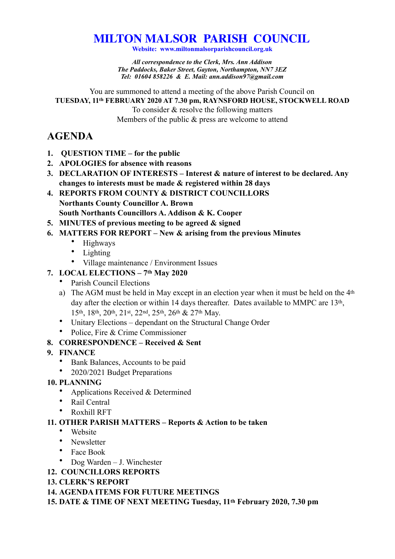# **MILTON MALSOR PARISH COUNCIL**

**Website: www.miltonmalsorparishcouncil.org.uk** 

*All correspondence to the Clerk, Mrs. Ann Addison The Paddocks, Baker Street, Gayton, Northampton, NN7 3EZ Tel: 01604 858226 & E. Mail: ann.addison97@gmail.com* 

You are summoned to attend a meeting of the above Parish Council on **TUESDAY, 11th FEBRUARY 2020 AT 7.30 pm, RAYNSFORD HOUSE, STOCKWELL ROAD**  To consider & resolve the following matters Members of the public & press are welcome to attend

## **AGENDA**

- **1. QUESTION TIME for the public**
- **2. APOLOGIES for absence with reasons**
- **3. DECLARATION OF INTERESTS Interest & nature of interest to be declared. Any changes to interests must be made & registered within 28 days**
- **4. REPORTS FROM COUNTY & DISTRICT COUNCILLORS Northants County Councillor A. Brown South Northants Councillors A. Addison & K. Cooper**
- **5. MINUTES of previous meeting to be agreed & signed**
- **6. MATTERS FOR REPORT New & arising from the previous Minutes** 
	- Highways
	- Lighting
	- Village maintenance / Environment Issues

#### **7. LOCAL ELECTIONS – 7th May 2020**

- Parish Council Elections
- a) The AGM must be held in May except in an election year when it must be held on the 4<sup>th</sup> day after the election or within 14 days thereafter. Dates available to MMPC are 13<sup>th</sup>, 15th, 18th, 20th, 21st, 22nd, 25th, 26th & 27th May.
- Unitary Elections dependant on the Structural Change Order
- Police, Fire & Crime Commissioner

### **8. CORRESPONDENCE – Received & Sent**

- **9. FINANCE** 
	- Bank Balances, Accounts to be paid
	- 2020/2021 Budget Preparations
- **10. PLANNING** 
	- Applications Received & Determined
	- Rail Central
	- Roxhill RFT

### **11. OTHER PARISH MATTERS – Reports & Action to be taken**

- Website
- Newsletter
- Face Book
- Dog Warden J. Winchester
- **12. COUNCILLORS REPORTS**

#### **13. CLERK'S REPORT**

**14. AGENDA ITEMS FOR FUTURE MEETINGS** 

**15. DATE & TIME OF NEXT MEETING Tuesday, 11th February 2020, 7.30 pm**